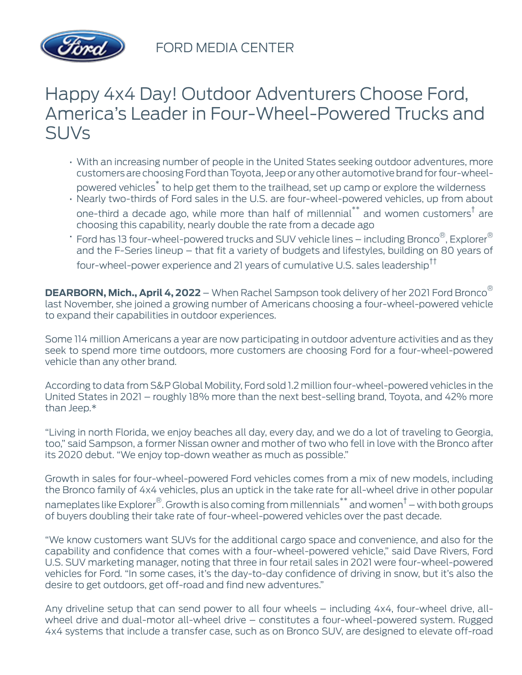

FORD MEDIA CENTER

## Happy 4x4 Day! Outdoor Adventurers Choose Ford, America's Leader in Four-Wheel-Powered Trucks and SUVs

- With an increasing number of people in the United States seeking outdoor adventures, more customers are choosing Ford than Toyota, Jeep or any other automotive brand for four-wheelpowered vehicles\* to help get them to the trailhead, set up camp or explore the wilderness
- Nearly two-thirds of Ford sales in the U.S. are four-wheel-powered vehicles, up from about one-third a decade ago, while more than half of millennial $^{\ast\ast}$  and women customers $^\dagger$  are choosing this capability, nearly double the rate from a decade ago
- $\,$   $\,$  Ford has 13 four-wheel-powered trucks and SUV vehicle lines including Bronco $^\circ$ , Explorer $^\circ$ and the F-Series lineup – that fit a variety of budgets and lifestyles, building on 80 years of four-wheel-power experience and 21 years of cumulative U.S. sales leadership††

**DEARBORN, Mich., April 4, 2022** – When Rachel Sampson took delivery of her 2021 Ford Bronco® last November, she joined a growing number of Americans choosing a four-wheel-powered vehicle to expand their capabilities in outdoor experiences.

Some 114 million Americans a year are now participating in outdoor adventure activities and as they seek to spend more time outdoors, more customers are choosing Ford for a four-wheel-powered vehicle than any other brand.

According to data from S&P Global Mobility, Ford sold 1.2 million four-wheel-powered vehicles in the United States in 2021 – roughly 18% more than the next best-selling brand, Toyota, and 42% more than Jeep.\*

"Living in north Florida, we enjoy beaches all day, every day, and we do a lot of traveling to Georgia, too," said Sampson, a former Nissan owner and mother of two who fell in love with the Bronco after its 2020 debut. "We enjoy top-down weather as much as possible."

Growth in sales for four-wheel-powered Ford vehicles comes from a mix of new models, including the Bronco family of 4x4 vehicles, plus an uptick in the take rate for all-wheel drive in other popular nameplates like Explorer $^\circledR$ . Growth is also coming from millennials $^*$  and women $^\dagger$  – with both groups of buyers doubling their take rate of four-wheel-powered vehicles over the past decade.

"We know customers want SUVs for the additional cargo space and convenience, and also for the capability and confidence that comes with a four-wheel-powered vehicle," said Dave Rivers, Ford U.S. SUV marketing manager, noting that three in four retail sales in 2021 were four-wheel-powered vehicles for Ford. "In some cases, it's the day-to-day confidence of driving in snow, but it's also the desire to get outdoors, get off-road and find new adventures."

Any driveline setup that can send power to all four wheels – including 4x4, four-wheel drive, allwheel drive and dual-motor all-wheel drive – constitutes a four-wheel-powered system. Rugged 4x4 systems that include a transfer case, such as on Bronco SUV, are designed to elevate off-road